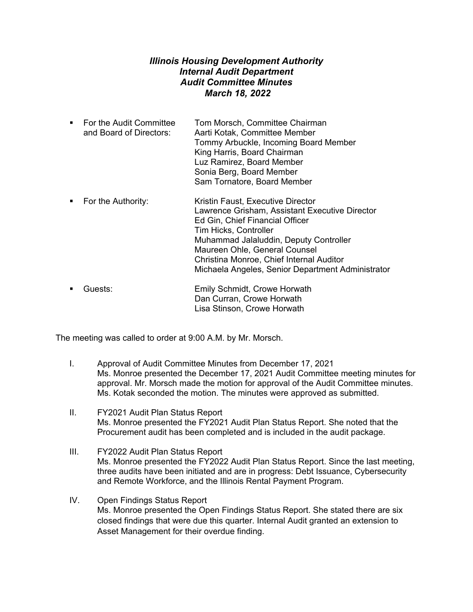## *Illinois Housing Development Authority Internal Audit Department Audit Committee Minutes March 18, 2022*

- For the Audit Committee Tom Morsch, Committee Chairman and Board of Directors: Aarti Kotak, Committee Member Tommy Arbuckle, Incoming Board Member King Harris, Board Chairman Luz Ramirez, Board Member Sonia Berg, Board Member Sam Tornatore, Board Member
- **For the Authority:** Kristin Faust, Executive Director Lawrence Grisham, Assistant Executive Director Ed Gin, Chief Financial Officer Tim Hicks, Controller Muhammad Jalaluddin, Deputy Controller Maureen Ohle, General Counsel Christina Monroe, Chief Internal Auditor Michaela Angeles, Senior Department Administrator
- Guests: Emily Schmidt, Crowe Horwath Dan Curran, Crowe Horwath Lisa Stinson, Crowe Horwath

The meeting was called to order at 9:00 A.M. by Mr. Morsch.

- I. Approval of Audit Committee Minutes from December 17, 2021 Ms. Monroe presented the December 17, 2021 Audit Committee meeting minutes for approval. Mr. Morsch made the motion for approval of the Audit Committee minutes. Ms. Kotak seconded the motion. The minutes were approved as submitted.
- II. FY2021 Audit Plan Status Report Ms. Monroe presented the FY2021 Audit Plan Status Report. She noted that the Procurement audit has been completed and is included in the audit package.
- III. FY2022 Audit Plan Status Report Ms. Monroe presented the FY2022 Audit Plan Status Report. Since the last meeting, three audits have been initiated and are in progress: Debt Issuance, Cybersecurity and Remote Workforce, and the Illinois Rental Payment Program.
- IV. Open Findings Status Report Ms. Monroe presented the Open Findings Status Report. She stated there are six closed findings that were due this quarter. Internal Audit granted an extension to Asset Management for their overdue finding.